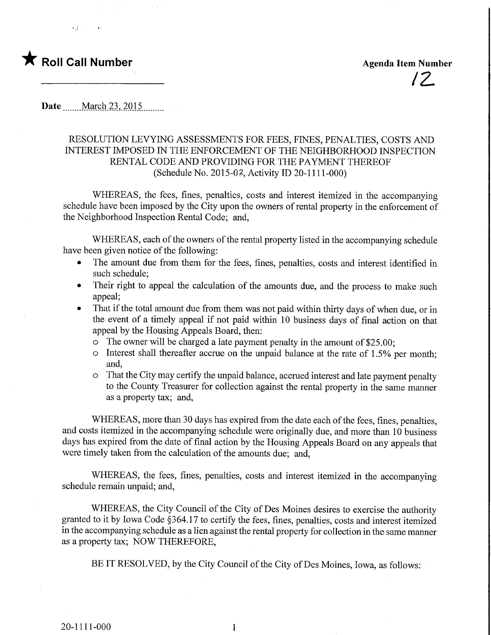

,2.



 $\cdot$  if  $\cdot$ 

Date <u>March 23</u>, 2015

## RESOLUTION LEVYING ASSESSMENTS FOR FEES, FINES, PENALTIES, COSTS AND INTEREST IMPOSED IN THE ENFORCEMENT OF THE NEIGHBORHOOD INSPECTION RENTAL CODE AND PROVIDING FOR THE PAYMENT THEREOF (Schedule No. 2015-02, Activity ID 20-1111-000)

WHEREAS, the fees, fines, penalties, costs and interest itemized in the accompanying schedule have been imposed by the City upon the owners of rental property in the enforcement of the Neighborhood Inspection Rental Code; and,

WHEREAS, each of the owners of the rental property listed in the accompanying schedule have been given notice of the following:

- The amount due from them for the fees, fines, penalties, costs and interest identified in such schedule;
- Their right to appeal the calculation of the amounts due, and the process to make such appeal;
- That if the total amount due from them was not paid within thirty days of when due, or in the event of a timely appeal if not paid within 10 business days of final action on that appeal by the Housing Appeals Board, then:
	- o The owner will be charged a late payment penalty in the amount of \$25.00;
	- o Interest shall thereafter accrue on the unpaid balance at the rate of 1.5% per month; and,
	- o That the City may certify the unpaid balance, accrued interest and late payment penalty to the County Treasurer for collection against the rental property in the same manner as a property tax; and,

WHEREAS, more than 30 days has expired from the date each of the fees, fines, penalties, and costs itemized in the accompanying schedule were originally due, and more than 10 business days has expired from the date of final action by the Housing Appeals Board on any appeals that were timely taken from the calculation of the amounts due; and,

WHEREAS, the fees, fines, penalties, costs and interest itemized in the accompanying schedule remain unpaid; and,

WHEREAS, the City Council of the City of Des Moines desires to exercise the authority granted to it by Iowa Code §364.17 to certify the fees, fines, penalties, costs and interest itemized in the accompanying schedule as a lien against the rental property for collection in the same manner as a property tax; NOW THEREFORE,

BE IT RESOLVED, by the City Council of the City of Des Moines, Iowa, as follows:

 $\mathbf{1}$